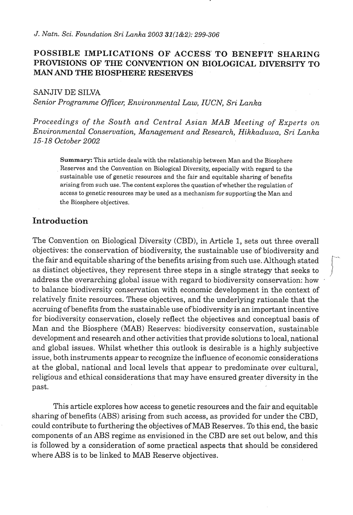### **POSSIBLE IMPLICATIONS OF ACCESS' TO BENEFIT SHARING PROVISIONS OF THE CONVENTION ON BIOLOGICAL DIVERSITY TO MAN AND THE BIOSPHERE RESERVES**

**SANJIV** DE **SILVA** 

*Senior Programme Oficer, Environmental Law, IUCN, Sri Lanka* 

*Proceedings of the South and Central Asian MAB Meeting of Experts on Environmental Conservation, Management and Research, Hikkaduwa, Sri Lanka 15-18 October* 2002

**Summary: This article deals with the relationship between Man and the Biosphere Reserves and the Convention on Biological Diversity, especially with regard to the sustainable use of genetic resources and the fair and equitable sharing of benefits arising from such use. The content explores the question of whether the regulation of access to genetic resources may be used as a mechanism for supporting the Man and the Biosphere objectives.** 

#### **Introduction**

The Convention on Biological Diversity (CBD), in Article 1, sets out three overall objectives: the conservation of biodiversity, the sustainable use of biodiversity and the fair and equitable sharing of the benefits arising from such use. Although stated as distinct objectives, they represent three steps in a single strategy that seeks to address the overarching global issue with regard to biodiversity conservation: how to balance biodiversity conservation with economic development in the context of relatively finite resources. These objectives, and the underlying rationale that the accruing of benefits from the sustainable use of biodiversity is an important incentive for biodiversity conservation, closely reflect the objectives and conceptual basis of Man and the Biosphere (MAB) Reserves: biodiversity conservation, sustainable development and research and other activities that provide solutions to local, national and global issues. Whilst whether this outlook is desirable is a highly subjective issue, both instruments appear to recognize the influence of economic considerations at the global, national and local levels that appear to predominate over cultural, religious and ethical considerations that may have ensured greater diversity in the past.

This article explores how access to genetic resources and the fair and equitable sharing of benefits **(ABS)** arising from such access, as provided for under the CBD, could contribute to furthering the objectives of **W** Reserves. To this end, the basic components of an **ABS** regime as envisioned in the CBD are set out below, and this is followed by a consideration of some practical aspects that should be considered where **ABS** is to be linked to **MAB** Reserve objectives.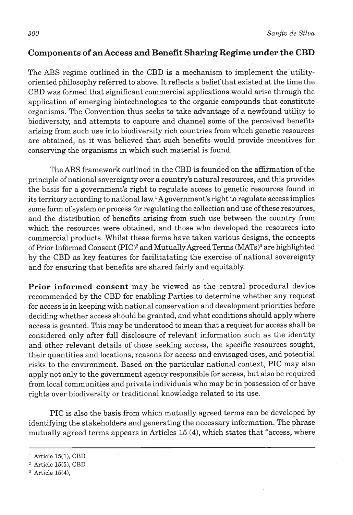# **Components of an Access and Benefit Sharing Regime under the CBD**

The **ABS** regime outlined in the CBD is a mechanism to implement the utilityoriented philosophy referred to above. It reflects a belief that existed at the time the CBD was formed that significant commercial applications would arise through the application of emerging biotechnologies to the organic compounds that constitute organisms. The Convention thus seeks to take advantage of a newfound utility to biodiversity, and attempts to capture and channel some of the perceived benefits arising from such use into biodiversity rich countries from which genetic resources are obtained, as it was believed that such benefits would provide incentives for conserving the organisms in which such material is found.

The **ABS** framework outlined in the CBD is founded on the affirmation of the principle of national sovereignty over a country's natural resources, and this provides the basis for a government's right to regulate access to genetic resources found in its territory according to national law.<sup>1</sup> A government's right to regulate access implies some form of system or process for regulating the collection and use of these resources, and the distribution of benefits arising from such use between the country from which the resources were obtained, and those who developed the resources into commercial products. Whilst these forms have taken various designs, the concepts of Prior Informed Consent (PIC)<sup>2</sup> and Mutually Agreed Terms (MATs)<sup>3</sup> are highlighted by the CBD as key features for facilitatating the exercise of national sovereignty and for ensuring that benefits are shared fairly and equitably.

**Prior informed consent** may be viewed as the central procedural device recommended by the CBD for enabling Parties to determine whether any request for access is in keeping with national conservation and development priorities before deciding whether access should be granted, and what conditions should apply where access is granted. This may be understood to mean that a request for access shall be considered only after full disclosure of relevant information such as the identity and other relevant details of those seeking access, the specific resources sought, their quantities and locations, reasons for access and envisaged uses, and potential risks to the environment. Based on the particular national context, PIC may also apply not only to the government agency responsible for access, but also be required from local communities and private individuals who may be in possession of or have rights over biodiversity or traditional knowledge related to its use.

PIC is also the basis from which mutually agreed terms can be developed by identifying the stakeholders and generating the necessary information. The phrase mutually agreed terms appears in Articles 15 **(4),** which states that "access, where

**Article 15(1), CBD** 

**Article 15(5), CBD** 

**Article 15(4),**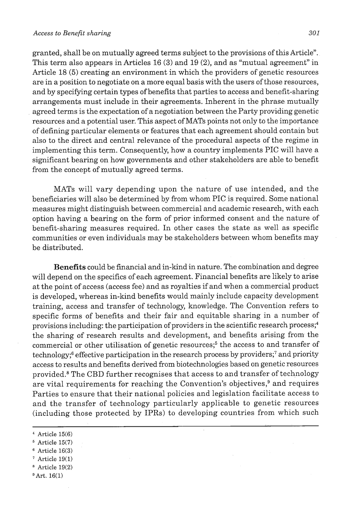granted, shall be on mutually agreed terms subject to the provisions of this Article". This term also appears in Articles 16 **(3)** and 19 (2), and as "mutual agreement" in Article 18 (5) creating.an environment in which the providers of genetic resources are in a position to negotiate on a more equal basis with the users of those resources, and by specifying certain types of benefits that parties to access and benefit-sharing arrangements must include in their agreements. Inherent in the phrase.mutually agreed terms is the expectation of a negotiation between the Party providing genetic resources and a potential user. This aspect of **MATS** points not only to the importance of defining particular elements or features that each agreement should contain but also to the direct and central relevance of the procedural aspects of the regime in implementing this term. Consequently, how a country implements PIC will have a significant bearing on how governments and other stakeholders are able to benefit. from the concept of mutually agreed terms.

MATS will vary depending upon the nature of use intended, and the beneficiaries will also be determined by from whom PIC is required. Some national measures might distinguish between commercial and academic research, with each option having a bearing on the form of prior informed consent and the nature of benefit-sharing measures required. In other cases the state as well as specific communities or even individuals may be stakeholders between whom benefits may be distributed.

**Benefits** could be financial and in-kind in nature. The combination and degree will depend on the specifics of each agreement. Financial benefits are likely to arise at the point of access (access fee) and as royalties if and when a commercial product is developed, whereas in-kind benefits would mainly include capacity development training, access and transfer of technology, knowledge. The Convention refers to specific forms of benefits and their fair and equitable sharing in a number of provisions including: the participation of providers in the scientific research process; ${}^{4}$ the sharing of research results and development, and benefits arising from the commercial or other utilisation of genetic resources;<sup>5</sup> the access to and transfer of technology;<sup>6</sup> effective participation in the research process by providers;<sup>7</sup> and priority access to results and benefits derived from biotechnologies based on genetic resources provided.<sup>8</sup> The CBD further recognises that access to and transfer of technology are vital requirements for reaching the Convention's objectives,<sup>9</sup> and requires Parties to ensure that their national policies and legislation facilitate access to and the transfer of technology particularly applicable to genetic resources (including those protected by IPRs) to developing countries from which such

- **Article 19(1)**
- **Article 19(2)**
- **Art. 16(1)**

**Article 15(6)** 

**Article 15(7)** 

**Article 16(3)**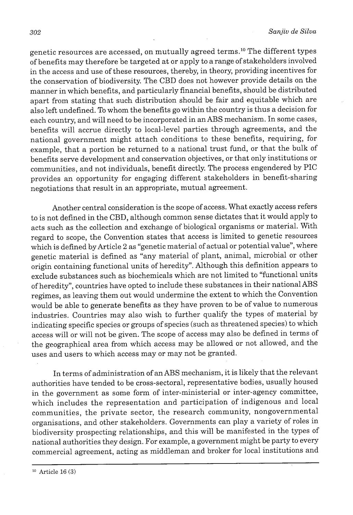genetic resources are accessed, on mutually agreed terms.1° The different types of benefits may therefore be targeted at or apply to arange of stakeholders involved in the access and use of these resources, thereby, in theory, providing incentives for the conservation of biodiversity. The CBD does not however provide details on the manner in which benefits, and particularly financial benefits, should be distributed apart from stating that such distribution should be fair and equitable which are also left undefined. To whom the benefits go within the country is thus a decision for each country, and will need to be incorporated in an **ABS** mechanism. In some cases, benefits will accrue directly to local-level parties through agreements, and the national government might attach conditions to these benefits, requiring, for example, that a portion be returned to a national trust fund, or that the bulk of benefits serve development and conservation objectives, or that only institutions or communities, and not individuals, benefit directly. The process engendered by PIC provides an opportunity for engaging different stakeholders in benefit-sharing negotiations that result in an appropriate, mutual agreement.

Another central consideration is the scope of access. What exactly access refers to is not defined in the CBD, although common sense dictates that it would apply to acts such as the collection and exchange of biological organisms or material. With regard to scope, the Convention states that access is limited to genetic resources which is defined by Article 2 as "genetic material of actual or potential value", where genetic material is defined as "any material of plant, animal, microbial or other origin containing functional units of heredity". Although this definition appears to exclude substances such as biochemicals which are not limited to "functional units of heredity", countries have opted to include these substances in their national **ABS**  regimes, as leaving them out would undermine the extent to which the Convention would be able to generate benefits as they have proven to be of value to numerous industries. Countries may also wish to further qualify the types of material by indicating specific species or groups of species (such as threatened species) to which access will or will not be given. The scope of access may also be defined in terms of the geographical area from which access may be allowed or not allowed, and the uses and users to which access may or may not be granted.

In terms of administration of an ABS mechanism, it is likely that the relevant authorities have tended to be cross-sectoral, representative bodies, usually housed in the government as some form of inter-ministerial or inter-agency committee, which includes the representation and participation of indigenous and local communities, the private sector, the research community, nongovernmental organisations, and other stakeholders. Governments can play a variety of roles in biodiversity prospecting relationships, and this will be manifested in the types of national authorities they design. For example, a government might be party to every commercial agreement, acting as middleman and broker for local institutions and

**lo Article 16 (3)**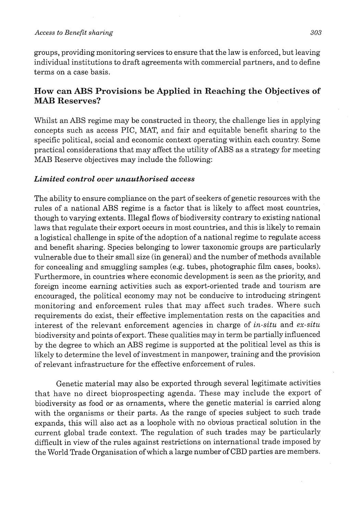#### *Access to Benefit sharing 303*

groups, providing monitoring services to ensure that the law is enforced, but leaving individual institutions to draft agreements with commercial partners, and to define terms on a case basis.

### **How can ABS Provisions be Applied in Reaching the Objectives of MAB Reserves?**

Whilst an ABS regime may be constructed in theory, the challenge lies in applying concepts such as access PIC, MAT, and fair and equitable benefit sharing to the specific political, social and economic context operating within each country. Some practical considerations that may affect the utility ofABS as a strategy for meeting **MAB** Reserve objectives may include the following:

#### *Limited control over unauthorised access*

The ability to ensure compliance on the part of seekers of genetic resources with the rules of a national ABS regime is a factor that is likely to affect most countries, though to varying extents. Illegal flows of biodiversity contrary to existing national laws that regulate their export occurs in most countries, and this is likely to remain a logistical challenge in spite of the adoption of a national regime to regulate access and benefit sharing. Species belonging to lower taxonomic groups are particularly vulnerable due to their small size (in general) and the number of methods available for concealing and smuggling samples (e.g. tubes, photographic film cases, books). Furthermore, in countries where economic development is seen as the priority, and foreign income earning activities such as export-oriented trade and tourism are encouraged, the political economy may not be conducive to introducing stringent monitoring and enforcement rules that may affect such trades. Where such requirements do exist, their effective implementation rests on the capacities and interest of the relevant enforcement agencies in charge of **in-situ** and **ex-situ**  biodiversity and points of export. These qualities may in term be partially influenced by the degree to which an ABS regime is supported at the political level as this is likely to determine the level of investment in manpower, training and the provision of relevant infrastructure for the effective enforcement of rules.

Genetic material may also be exported through several legitimate activities that have no direct bioprospecting agenda. These may include the export of biodiversity as food or as ornaments, where the genetic material is carried along with the organisms or their parts. As the range of species subject to such trade expands, this will also act as a loophole with no obvious practical solution in the current global trade context. The regulation of such trades may be particularly difficult in view of the rules against restrictions on international trade imposed by the World Trade Organisation of which a large number of CBD parties are members.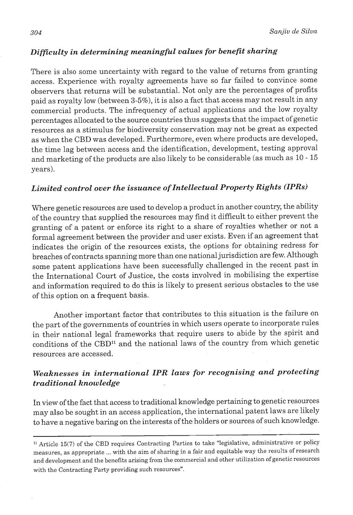### *Diflculty in determining meaningful values for benefit sharing*

There is also some uncertainty with regard to the value of returns from granting access. Experience with royalty agreements have so far failed to convince some observers that returns will be substantial. Not only are the percentages of profits paid as royalty low (between **3-5%),** it is also a fact that access may not result in any commercial products. The infrequency of actual applications and the low royalty percentages allocated to the source countries thus suggests that the impact of genetic resources as a stimulus for biodiversity conservation may not be great as expected as when the CBD was developed. Furthermore, even where products are developed, the time lag between access and the identification, development, testing approval and marketing of the products are also likely to be considerable (as much as 10 - 15 years).

# *Limited control over the issuance of Intellectual Property Rights (IPRs)*

Where genetic resources are used to develop a product in another country, the ability of the country that supplied the resources may find it difficult to either prevent the granting of a patent or enforce its right to a share of royalties whether or not a formal agreement between the provider and user exists. Even if an agreement that indicates the origin of the resources exists, the options for obtaining redress for breaches of contracts spanning more than one national jurisdiction are few. Although some patent applications have been successfully challenged in the recent past in the International Court of Justice, the costs involved in mobilising the expertise and information required to do this is likely to present serious obstacles to the use of this option on a frequent basis.

Another important factor that contributes to this situation is the failure on the part of the governments of countries in which users operate to incorporate rules in their national legal frameworks that require users to abide by the spirit and conditions of the CBD<sup>11</sup> and the national laws of the country from which genetic resources are accessed.

# *Weaknesses in international IPR laws for recognising and protecting traditional knowledge*

In view of the fact that access to traditional knowledge pertaining to genetic resources may also be sought in an access application, the international patent laws are likely to have a negative baring on the interests of the holders or sources of such knowledge.

**l1** Article **15(7)** of the CBD requires Contracting Parties to take "legislative, administrative or policy measures, as appropriate ... with the aim of sharing in a fair and equitable way the results of research and development and the benefits arising from the commercial and other utilization of genetic resources with the Contracting Party providing such resources".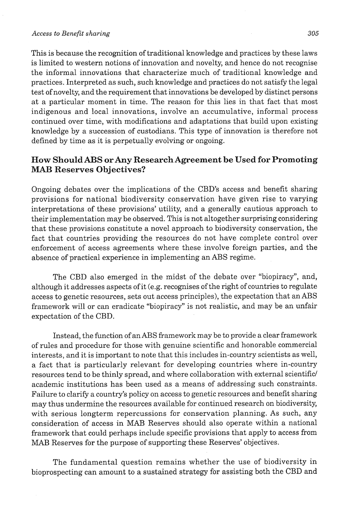#### *Access to Benefit sharing 305*

This is because the recognition of traditional knowledge and practices by these laws is limited to western notions of innovation and novelty, and hence do not recognise the informal innovations that characterize much of traditional knowledge and practices. Interpreted as such, such knowledge and practices do not satisfy the legal test of novelty, and the requirement that innovations be developed by distinct persons at a particular moment in time. The reason for this lies in that fact that most indigenous and local innovations, involve an accumulative, informal process continued over time, with modifications and adaptations that build upon existing knowledge by a succession of custodians. This type of innovation is therefore not defined by time as it is perpetually evolving or ongoing.

#### **How Should ABS or Any Research Agreement be Used for Promoting MAB Reserves Objectives?**

Ongoing debates over the implications of the CBD's access and benefit sharing provisions for national biodiversity conservation have given rise to varying interpretations of these provisions' utility, and a generally cautious approach to their implementation may be observed. This is not altogether surprising considering that these provisions constitute a novel approach to biodiversity conservation, the fact that countries providing the resources do not have complete control over enforcement of access agreements where these involve foreign parties, and the absence of practical experience in implementing an ABS regime.

The CBD also emerged in the midst of the debate over "biopiracy", and, although it addresses aspects of it (e.g. recognises of the right of countries to regulate access to genetic resources, sets out access principles), the expectation that an **ABS**  framework will or can eradicate "biopiracy" is not realistic, and may be an unfair expectation of the CBD.

Instead, the function of an ABS framework may be to provide a clear framework of rules and procedure for those with genuine scientific and honorable commercial interests, and it is important to note that this includes in-country scientists as well, a fact that is particularly relevant for developing countries where in-country resources tend to be thinly spread, and where collaboration with external scientific/ academic institutions has been used as a means of addressing such constraints. Failure to clarify a country's policy on access to genetic resources and benefit sharing may thus undermine the resources available for continued research on biodiversity, with serious longterm repercussions for conservation planning. As such, any consideration of access in **MAB** Reserves should also operate within a national framework that could perhaps include specific provisions that apply to access from **MAB** Reserves for the purpose of supporting these Reserves' objectives.

The fundamental question remains whether the use of biodiversity in bioprospecting can amount to a sustained strategy for assistirig both the CBD and